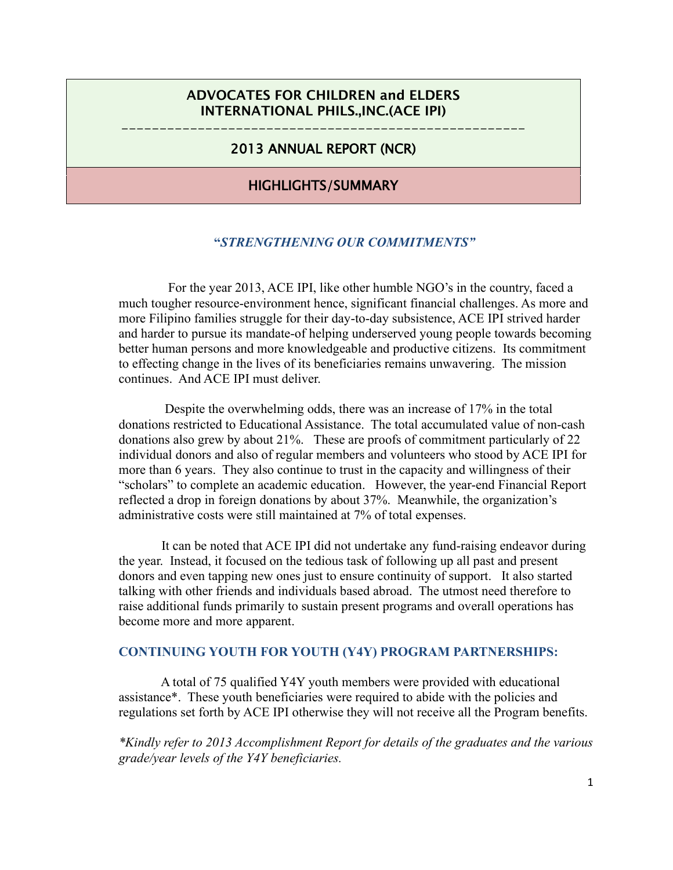# ADVOCATES FOR CHILDREN and ELDERS INTERNATIONAL PHILS.,INC.(ACE IPI)

# ----------------------------------------------------- 2013 ANNUAL REPORT (NCR)

# HIGHLIGHTS/SUMMARY

## **"***STRENGTHENING OUR COMMITMENTS"*

For the year 2013, ACE IPI, like other humble NGO's in the country, faced a much tougher resource-environment hence, significant financial challenges. As more and more Filipino families struggle for their day-to-day subsistence, ACE IPI strived harder and harder to pursue its mandate-of helping underserved young people towards becoming better human persons and more knowledgeable and productive citizens. Its commitment to effecting change in the lives of its beneficiaries remains unwavering. The mission continues. And ACE IPI must deliver.

 Despite the overwhelming odds, there was an increase of 17% in the total donations restricted to Educational Assistance. The total accumulated value of non-cash donations also grew by about 21%. These are proofs of commitment particularly of 22 individual donors and also of regular members and volunteers who stood by ACE IPI for more than 6 years. They also continue to trust in the capacity and willingness of their "scholars" to complete an academic education. However, the year-end Financial Report reflected a drop in foreign donations by about 37%. Meanwhile, the organization's administrative costs were still maintained at 7% of total expenses.

 It can be noted that ACE IPI did not undertake any fund-raising endeavor during the year. Instead, it focused on the tedious task of following up all past and present donors and even tapping new ones just to ensure continuity of support. It also started talking with other friends and individuals based abroad. The utmost need therefore to raise additional funds primarily to sustain present programs and overall operations has become more and more apparent.

#### **CONTINUING YOUTH FOR YOUTH (Y4Y) PROGRAM PARTNERSHIPS:**

A total of 75 qualified Y4Y youth members were provided with educational assistance\*. These youth beneficiaries were required to abide with the policies and regulations set forth by ACE IPI otherwise they will not receive all the Program benefits.

*\*Kindly refer to 2013 Accomplishment Report for details of the graduates and the various grade/year levels of the Y4Y beneficiaries.*